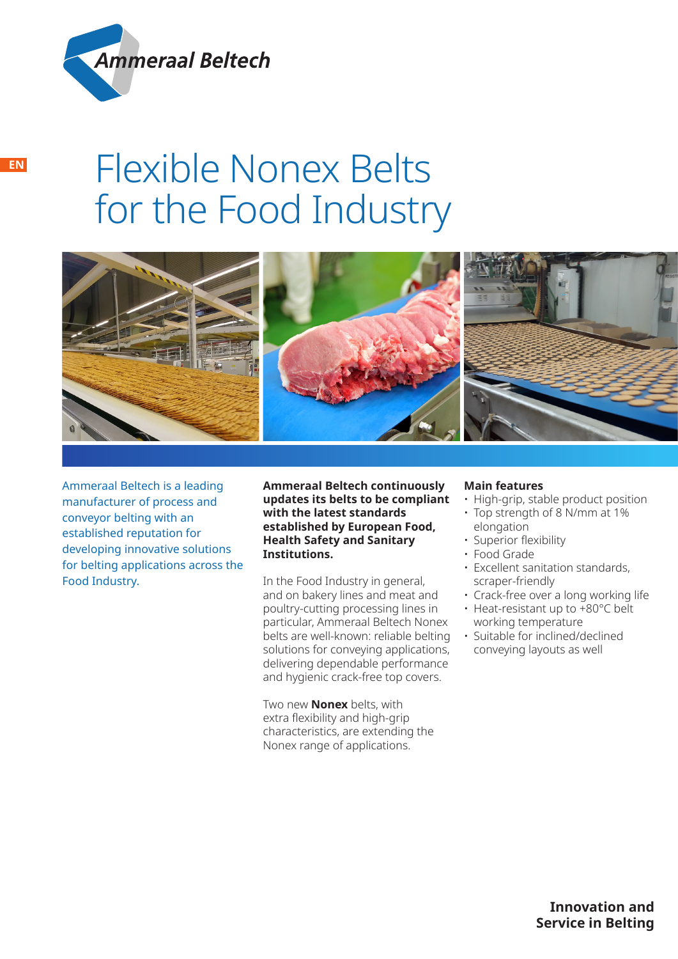

# Flexible Nonex Belts for the Food Industry



Ammeraal Beltech is a leading manufacturer of process and conveyor belting with an established reputation for developing innovative solutions for belting applications across the Food Industry.

**Ammeraal Beltech continuously updates its belts to be compliant with the latest standards established by European Food, Health Safety and Sanitary Institutions.**

In the Food Industry in general, and on bakery lines and meat and poultry-cutting processing lines in particular, Ammeraal Beltech Nonex belts are well-known: reliable belting solutions for conveying applications, delivering dependable performance and hygienic crack-free top covers.

Two new **Nonex** belts, with extra flexibility and high-grip characteristics, are extending the Nonex range of applications.

# **Main features**

- High-grip, stable product position
- Top strength of 8 N/mm at 1% elongation
- Superior flexibility
- Food Grade
- Excellent sanitation standards, scraper-friendly
- Crack-free over a long working life
- Heat-resistant up to +80°C belt working temperature
- Suitable for inclined/declined conveying layouts as well